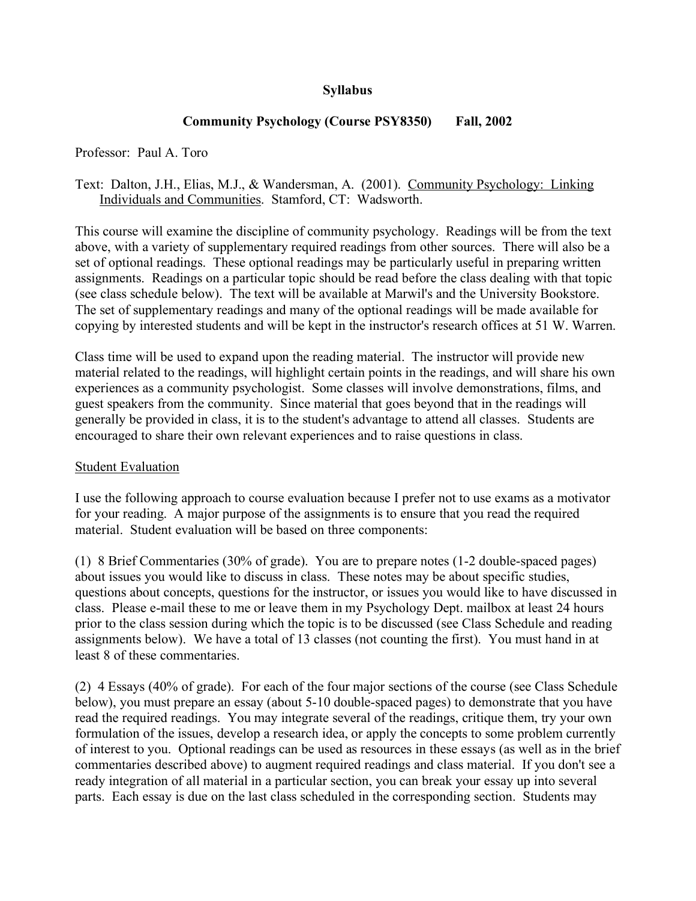## **Syllabus**

## **Community Psychology (Course PSY8350) Fall, 2002**

Professor: Paul A. Toro

Text: Dalton, J.H., Elias, M.J., & Wandersman, A. (2001). Community Psychology: Linking Individuals and Communities. Stamford, CT: Wadsworth.

This course will examine the discipline of community psychology. Readings will be from the text above, with a variety of supplementary required readings from other sources. There will also be a set of optional readings. These optional readings may be particularly useful in preparing written assignments. Readings on a particular topic should be read before the class dealing with that topic (see class schedule below). The text will be available at Marwil's and the University Bookstore. The set of supplementary readings and many of the optional readings will be made available for copying by interested students and will be kept in the instructor's research offices at 51 W. Warren.

Class time will be used to expand upon the reading material. The instructor will provide new material related to the readings, will highlight certain points in the readings, and will share his own experiences as a community psychologist. Some classes will involve demonstrations, films, and guest speakers from the community. Since material that goes beyond that in the readings will generally be provided in class, it is to the student's advantage to attend all classes. Students are encouraged to share their own relevant experiences and to raise questions in class.

## Student Evaluation

I use the following approach to course evaluation because I prefer not to use exams as a motivator for your reading. A major purpose of the assignments is to ensure that you read the required material. Student evaluation will be based on three components:

(1) 8 Brief Commentaries (30% of grade). You are to prepare notes (1-2 double-spaced pages) about issues you would like to discuss in class. These notes may be about specific studies, questions about concepts, questions for the instructor, or issues you would like to have discussed in class. Please e-mail these to me or leave them in my Psychology Dept. mailbox at least 24 hours prior to the class session during which the topic is to be discussed (see Class Schedule and reading assignments below). We have a total of 13 classes (not counting the first). You must hand in at least 8 of these commentaries.

(2) 4 Essays (40% of grade). For each of the four major sections of the course (see Class Schedule below), you must prepare an essay (about 5-10 double-spaced pages) to demonstrate that you have read the required readings. You may integrate several of the readings, critique them, try your own formulation of the issues, develop a research idea, or apply the concepts to some problem currently of interest to you. Optional readings can be used as resources in these essays (as well as in the brief commentaries described above) to augment required readings and class material. If you don't see a ready integration of all material in a particular section, you can break your essay up into several parts. Each essay is due on the last class scheduled in the corresponding section. Students may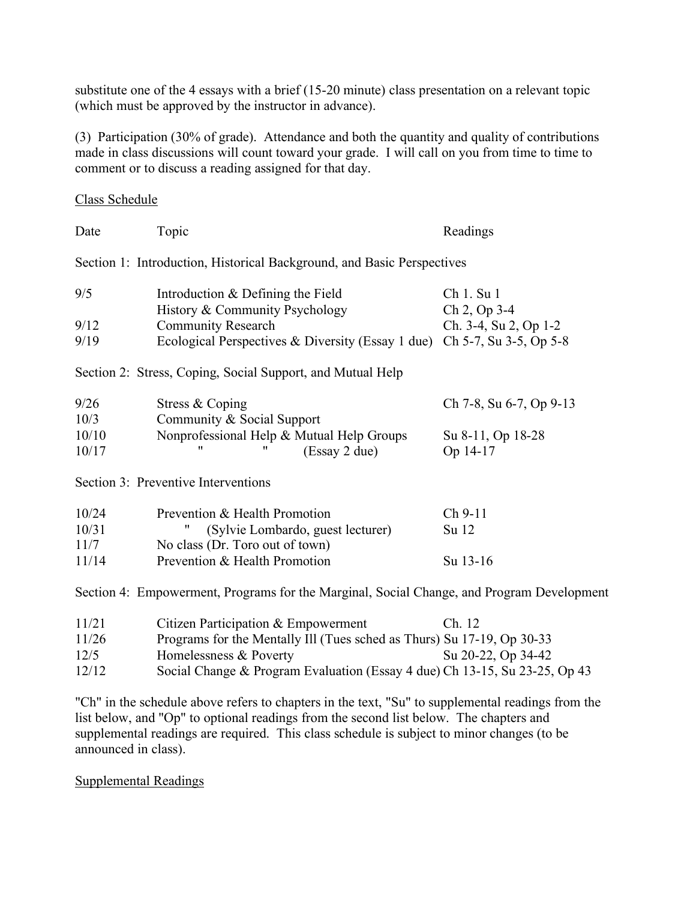substitute one of the 4 essays with a brief (15-20 minute) class presentation on a relevant topic (which must be approved by the instructor in advance).

(3) Participation (30% of grade). Attendance and both the quantity and quality of contributions made in class discussions will count toward your grade. I will call on you from time to time to comment or to discuss a reading assigned for that day.

Class Schedule

| Date                                                                                      | Topic                                                                  | Readings                              |
|-------------------------------------------------------------------------------------------|------------------------------------------------------------------------|---------------------------------------|
| Section 1: Introduction, Historical Background, and Basic Perspectives                    |                                                                        |                                       |
| 9/5                                                                                       | Introduction & Defining the Field                                      | Ch 1. Su 1                            |
| 9/12                                                                                      | History & Community Psychology<br><b>Community Research</b>            | Ch 2, Op 3-4<br>Ch. 3-4, Su 2, Op 1-2 |
| 9/19                                                                                      | Ecological Perspectives & Diversity (Essay 1 due)                      | Ch 5-7, Su 3-5, Op 5-8                |
| Section 2: Stress, Coping, Social Support, and Mutual Help                                |                                                                        |                                       |
| 9/26                                                                                      | Stress & Coping                                                        | Ch 7-8, Su 6-7, Op 9-13               |
| 10/3                                                                                      | Community & Social Support                                             |                                       |
| 10/10<br>10/17                                                                            | Nonprofessional Help & Mutual Help Groups<br>(Essay 2 due)             | Su 8-11, Op 18-28<br>Op 14-17         |
| Section 3: Preventive Interventions                                                       |                                                                        |                                       |
| 10/24                                                                                     | Prevention & Health Promotion                                          | Ch 9-11                               |
| 10/31                                                                                     | (Sylvie Lombardo, guest lecturer)                                      | Su 12                                 |
| 11/7                                                                                      | No class (Dr. Toro out of town)                                        |                                       |
| 11/14                                                                                     | Prevention & Health Promotion                                          | Su 13-16                              |
| Section 4: Empowerment, Programs for the Marginal, Social Change, and Program Development |                                                                        |                                       |
| 11/21                                                                                     | Citizen Participation & Empowerment                                    | Ch. 12                                |
| 11/26                                                                                     | Programs for the Mentally Ill (Tues sched as Thurs) Su 17-19, Op 30-33 |                                       |
| 12/5                                                                                      | Homelessness & Poverty                                                 | Su 20-22, Op 34-42                    |

12/12 Social Change & Program Evaluation (Essay 4 due) Ch 13-15, Su 23-25, Op 43

"Ch" in the schedule above refers to chapters in the text, "Su" to supplemental readings from the list below, and "Op" to optional readings from the second list below. The chapters and supplemental readings are required. This class schedule is subject to minor changes (to be announced in class).

Supplemental Readings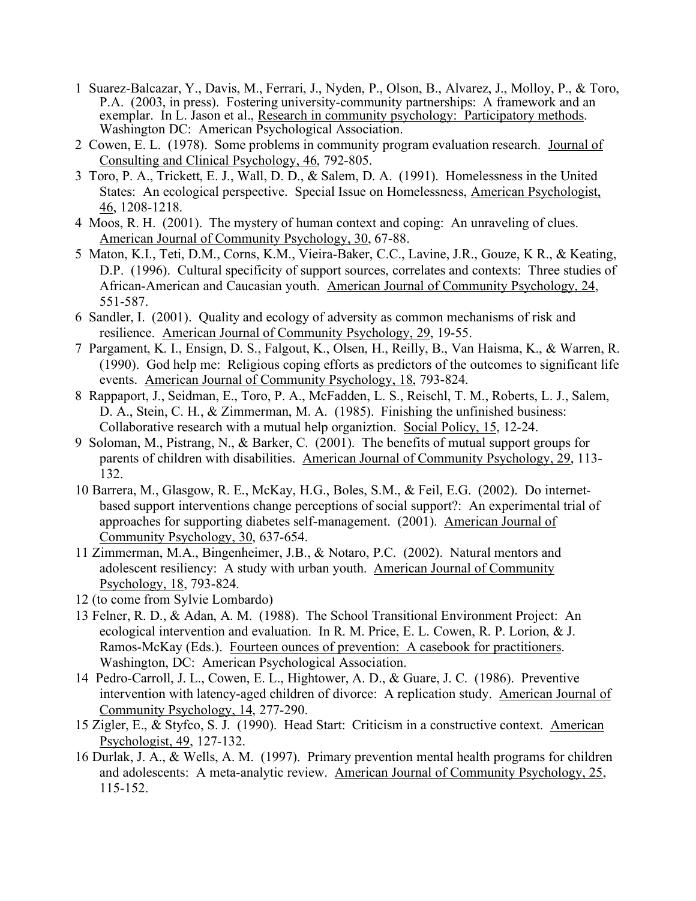- 1 Suarez-Balcazar, Y., Davis, M., Ferrari, J., Nyden, P., Olson, B., Alvarez, J., Molloy, P., & Toro, P.A. (2003, in press). Fostering university-community partnerships: A framework and an exemplar. In L. Jason et al., Research in community psychology: Participatory methods. Washington DC: American Psychological Association.
- 2 Cowen, E. L. (1978). Some problems in community program evaluation research. Journal of Consulting and Clinical Psychology, 46, 792-805.
- 3 Toro, P. A., Trickett, E. J., Wall, D. D., & Salem, D. A. (1991). Homelessness in the United States: An ecological perspective. Special Issue on Homelessness, American Psychologist, 46, 1208-1218.
- 4 Moos, R. H. (2001). The mystery of human context and coping: An unraveling of clues. American Journal of Community Psychology, 30, 67-88.
- 5 Maton, K.I., Teti, D.M., Corns, K.M., Vieira-Baker, C.C., Lavine, J.R., Gouze, K R., & Keating, D.P. (1996). Cultural specificity of support sources, correlates and contexts: Three studies of African-American and Caucasian youth. American Journal of Community Psychology, 24, 551-587.
- 6 Sandler, I. (2001). Quality and ecology of adversity as common mechanisms of risk and resilience. American Journal of Community Psychology, 29, 19-55.
- 7 Pargament, K. I., Ensign, D. S., Falgout, K., Olsen, H., Reilly, B., Van Haisma, K., & Warren, R. (1990). God help me: Religious coping efforts as predictors of the outcomes to significant life events. American Journal of Community Psychology, 18, 793-824.
- 8 Rappaport, J., Seidman, E., Toro, P. A., McFadden, L. S., Reischl, T. M., Roberts, L. J., Salem, D. A., Stein, C. H., & Zimmerman, M. A. (1985). Finishing the unfinished business: Collaborative research with a mutual help organiztion. Social Policy, 15, 12-24.
- 9 Soloman, M., Pistrang, N., & Barker, C. (2001). The benefits of mutual support groups for parents of children with disabilities. American Journal of Community Psychology, 29, 113- 132.
- 10 Barrera, M., Glasgow, R. E., McKay, H.G., Boles, S.M., & Feil, E.G. (2002). Do internetbased support interventions change perceptions of social support?: An experimental trial of approaches for supporting diabetes self-management. (2001). American Journal of Community Psychology, 30, 637-654.
- 11 Zimmerman, M.A., Bingenheimer, J.B., & Notaro, P.C. (2002). Natural mentors and adolescent resiliency: A study with urban youth. American Journal of Community Psychology, 18, 793-824.
- 12 (to come from Sylvie Lombardo)
- 13 Felner, R. D., & Adan, A. M. (1988). The School Transitional Environment Project: An ecological intervention and evaluation. In R. M. Price, E. L. Cowen, R. P. Lorion, & J. Ramos-McKay (Eds.). Fourteen ounces of prevention: A casebook for practitioners. Washington, DC: American Psychological Association.
- 14 Pedro-Carroll, J. L., Cowen, E. L., Hightower, A. D., & Guare, J. C. (1986). Preventive intervention with latency-aged children of divorce: A replication study. American Journal of Community Psychology, 14, 277-290.
- 15 Zigler, E., & Styfco, S. J. (1990). Head Start: Criticism in a constructive context. American Psychologist, 49, 127-132.
- 16 Durlak, J. A., & Wells, A. M. (1997). Primary prevention mental health programs for children and adolescents: A meta-analytic review. American Journal of Community Psychology, 25, 115-152.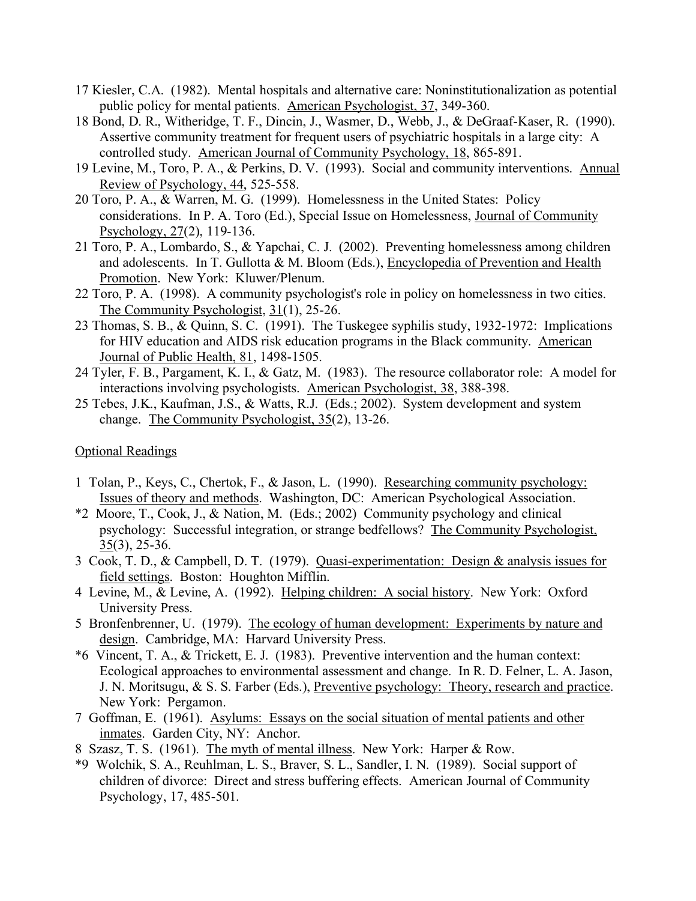- 17 Kiesler, C.A. (1982). Mental hospitals and alternative care: Noninstitutionalization as potential public policy for mental patients. American Psychologist, 37, 349-360.
- 18 Bond, D. R., Witheridge, T. F., Dincin, J., Wasmer, D., Webb, J., & DeGraaf-Kaser, R. (1990). Assertive community treatment for frequent users of psychiatric hospitals in a large city: A controlled study. American Journal of Community Psychology, 18, 865-891.
- 19 Levine, M., Toro, P. A., & Perkins, D. V. (1993). Social and community interventions. Annual Review of Psychology, 44, 525-558.
- 20 Toro, P. A., & Warren, M. G. (1999). Homelessness in the United States: Policy considerations. In P. A. Toro (Ed.), Special Issue on Homelessness, Journal of Community Psychology, 27(2), 119-136.
- 21 Toro, P. A., Lombardo, S., & Yapchai, C. J. (2002). Preventing homelessness among children and adolescents. In T. Gullotta & M. Bloom (Eds.), Encyclopedia of Prevention and Health Promotion. New York: Kluwer/Plenum.
- 22 Toro, P. A. (1998). A community psychologist's role in policy on homelessness in two cities. The Community Psychologist, 31(1), 25-26.
- 23 Thomas, S. B., & Quinn, S. C. (1991). The Tuskegee syphilis study, 1932-1972: Implications for HIV education and AIDS risk education programs in the Black community. American Journal of Public Health, 81, 1498-1505.
- 24 Tyler, F. B., Pargament, K. I., & Gatz, M. (1983). The resource collaborator role: A model for interactions involving psychologists. American Psychologist, 38, 388-398.
- 25 Tebes, J.K., Kaufman, J.S., & Watts, R.J. (Eds.; 2002). System development and system change. The Community Psychologist, 35(2), 13-26.

## Optional Readings

- 1 Tolan, P., Keys, C., Chertok, F., & Jason, L. (1990). Researching community psychology: Issues of theory and methods. Washington, DC: American Psychological Association.
- \*2 Moore, T., Cook, J., & Nation, M. (Eds.; 2002) Community psychology and clinical psychology: Successful integration, or strange bedfellows? The Community Psychologist, 35(3), 25-36.
- 3 Cook, T. D., & Campbell, D. T. (1979). Quasi-experimentation: Design & analysis issues for field settings. Boston: Houghton Mifflin.
- 4 Levine, M., & Levine, A. (1992). Helping children: A social history. New York: Oxford University Press.
- 5 Bronfenbrenner, U. (1979). The ecology of human development: Experiments by nature and design. Cambridge, MA: Harvard University Press.
- \*6 Vincent, T. A., & Trickett, E. J. (1983). Preventive intervention and the human context: Ecological approaches to environmental assessment and change. In R. D. Felner, L. A. Jason, J. N. Moritsugu, & S. S. Farber (Eds.), Preventive psychology: Theory, research and practice. New York: Pergamon.
- 7 Goffman, E. (1961). Asylums: Essays on the social situation of mental patients and other inmates. Garden City, NY: Anchor.
- 8 Szasz, T. S. (1961). The myth of mental illness. New York: Harper & Row.
- \*9 Wolchik, S. A., Reuhlman, L. S., Braver, S. L., Sandler, I. N. (1989). Social support of children of divorce: Direct and stress buffering effects. American Journal of Community Psychology, 17, 485-501.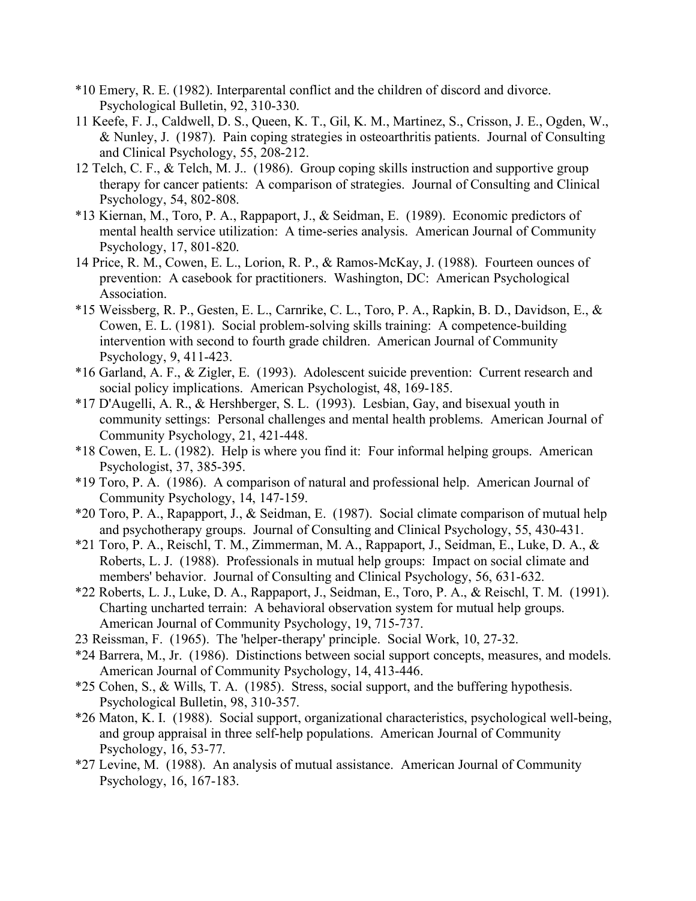- \*10 Emery, R. E. (1982). Interparental conflict and the children of discord and divorce. Psychological Bulletin, 92, 310-330.
- 11 Keefe, F. J., Caldwell, D. S., Queen, K. T., Gil, K. M., Martinez, S., Crisson, J. E., Ogden, W., & Nunley, J. (1987). Pain coping strategies in osteoarthritis patients. Journal of Consulting and Clinical Psychology, 55, 208-212.
- 12 Telch, C. F., & Telch, M. J.. (1986). Group coping skills instruction and supportive group therapy for cancer patients: A comparison of strategies. Journal of Consulting and Clinical Psychology, 54, 802-808.
- \*13 Kiernan, M., Toro, P. A., Rappaport, J., & Seidman, E. (1989). Economic predictors of mental health service utilization: A time-series analysis. American Journal of Community Psychology, 17, 801-820.
- 14 Price, R. M., Cowen, E. L., Lorion, R. P., & Ramos-McKay, J. (1988). Fourteen ounces of prevention: A casebook for practitioners. Washington, DC: American Psychological Association.
- \*15 Weissberg, R. P., Gesten, E. L., Carnrike, C. L., Toro, P. A., Rapkin, B. D., Davidson, E., & Cowen, E. L. (1981). Social problem-solving skills training: A competence-building intervention with second to fourth grade children. American Journal of Community Psychology, 9, 411-423.
- \*16 Garland, A. F., & Zigler, E. (1993). Adolescent suicide prevention: Current research and social policy implications. American Psychologist, 48, 169-185.
- \*17 D'Augelli, A. R., & Hershberger, S. L. (1993). Lesbian, Gay, and bisexual youth in community settings: Personal challenges and mental health problems. American Journal of Community Psychology, 21, 421-448.
- \*18 Cowen, E. L. (1982). Help is where you find it: Four informal helping groups. American Psychologist, 37, 385-395.
- \*19 Toro, P. A. (1986). A comparison of natural and professional help. American Journal of Community Psychology, 14, 147-159.
- \*20 Toro, P. A., Rapapport, J., & Seidman, E. (1987). Social climate comparison of mutual help and psychotherapy groups. Journal of Consulting and Clinical Psychology, 55, 430-431.
- \*21 Toro, P. A., Reischl, T. M., Zimmerman, M. A., Rappaport, J., Seidman, E., Luke, D. A., & Roberts, L. J. (1988). Professionals in mutual help groups: Impact on social climate and members' behavior. Journal of Consulting and Clinical Psychology, 56, 631-632.
- \*22 Roberts, L. J., Luke, D. A., Rappaport, J., Seidman, E., Toro, P. A., & Reischl, T. M. (1991). Charting uncharted terrain: A behavioral observation system for mutual help groups. American Journal of Community Psychology, 19, 715-737.
- 23 Reissman, F. (1965). The 'helper-therapy' principle. Social Work, 10, 27-32.
- \*24 Barrera, M., Jr. (1986). Distinctions between social support concepts, measures, and models. American Journal of Community Psychology, 14, 413-446.
- \*25 Cohen, S., & Wills, T. A. (1985). Stress, social support, and the buffering hypothesis. Psychological Bulletin, 98, 310-357.
- \*26 Maton, K. I. (1988). Social support, organizational characteristics, psychological well-being, and group appraisal in three self-help populations. American Journal of Community Psychology, 16, 53-77.
- \*27 Levine, M. (1988). An analysis of mutual assistance. American Journal of Community Psychology, 16, 167-183.